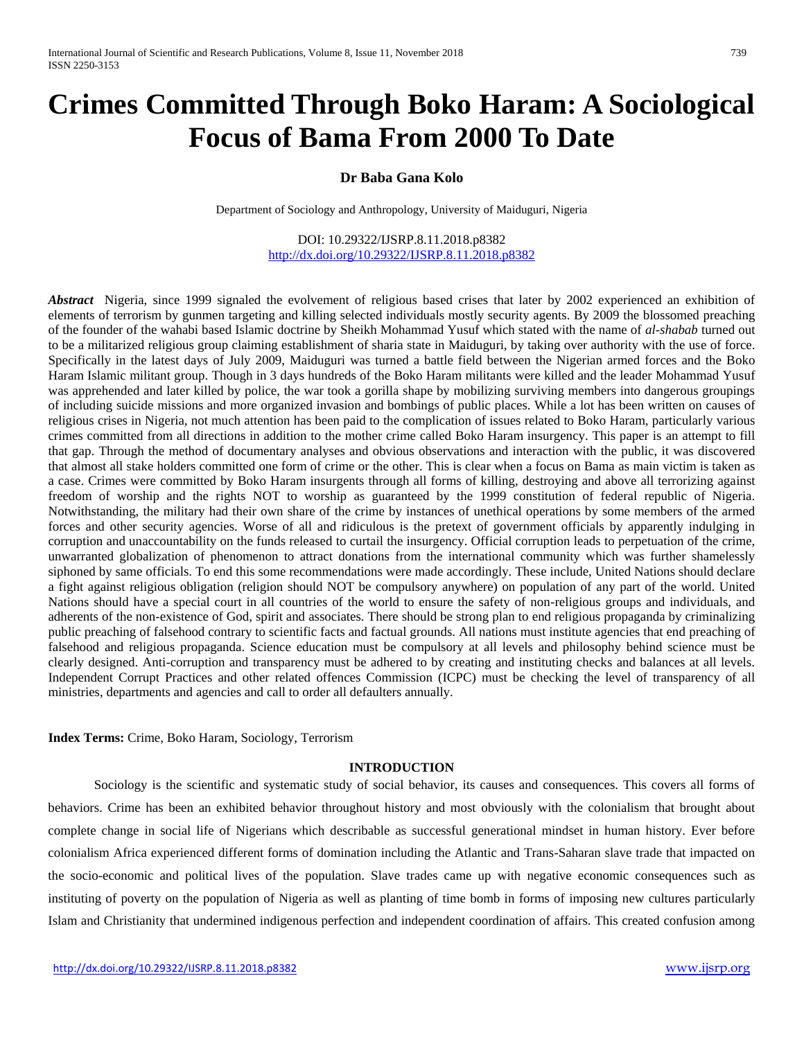# **Crimes Committed Through Boko Haram: A Sociological Focus of Bama From 2000 To Date**

# **Dr Baba Gana Kolo**

Department of Sociology and Anthropology, University of Maiduguri, Nigeria

DOI: 10.29322/IJSRP.8.11.2018.p8382 <http://dx.doi.org/10.29322/IJSRP.8.11.2018.p8382>

*Abstract* Nigeria, since 1999 signaled the evolvement of religious based crises that later by 2002 experienced an exhibition of elements of terrorism by gunmen targeting and killing selected individuals mostly security agents. By 2009 the blossomed preaching of the founder of the wahabi based Islamic doctrine by Sheikh Mohammad Yusuf which stated with the name of *al-shabab* turned out to be a militarized religious group claiming establishment of sharia state in Maiduguri, by taking over authority with the use of force. Specifically in the latest days of July 2009, Maiduguri was turned a battle field between the Nigerian armed forces and the Boko Haram Islamic militant group. Though in 3 days hundreds of the Boko Haram militants were killed and the leader Mohammad Yusuf was apprehended and later killed by police, the war took a gorilla shape by mobilizing surviving members into dangerous groupings of including suicide missions and more organized invasion and bombings of public places. While a lot has been written on causes of religious crises in Nigeria, not much attention has been paid to the complication of issues related to Boko Haram, particularly various crimes committed from all directions in addition to the mother crime called Boko Haram insurgency. This paper is an attempt to fill that gap. Through the method of documentary analyses and obvious observations and interaction with the public, it was discovered that almost all stake holders committed one form of crime or the other. This is clear when a focus on Bama as main victim is taken as a case. Crimes were committed by Boko Haram insurgents through all forms of killing, destroying and above all terrorizing against freedom of worship and the rights NOT to worship as guaranteed by the 1999 constitution of federal republic of Nigeria. Notwithstanding, the military had their own share of the crime by instances of unethical operations by some members of the armed forces and other security agencies. Worse of all and ridiculous is the pretext of government officials by apparently indulging in corruption and unaccountability on the funds released to curtail the insurgency. Official corruption leads to perpetuation of the crime, unwarranted globalization of phenomenon to attract donations from the international community which was further shamelessly siphoned by same officials. To end this some recommendations were made accordingly. These include, United Nations should declare a fight against religious obligation (religion should NOT be compulsory anywhere) on population of any part of the world. United Nations should have a special court in all countries of the world to ensure the safety of non-religious groups and individuals, and adherents of the non-existence of God, spirit and associates. There should be strong plan to end religious propaganda by criminalizing public preaching of falsehood contrary to scientific facts and factual grounds. All nations must institute agencies that end preaching of falsehood and religious propaganda. Science education must be compulsory at all levels and philosophy behind science must be clearly designed. Anti-corruption and transparency must be adhered to by creating and instituting checks and balances at all levels. Independent Corrupt Practices and other related offences Commission (ICPC) must be checking the level of transparency of all ministries, departments and agencies and call to order all defaulters annually.

**Index Terms:** Crime, Boko Haram, Sociology, Terrorism

# **INTRODUCTION**

 Sociology is the scientific and systematic study of social behavior, its causes and consequences. This covers all forms of behaviors. Crime has been an exhibited behavior throughout history and most obviously with the colonialism that brought about complete change in social life of Nigerians which describable as successful generational mindset in human history. Ever before colonialism Africa experienced different forms of domination including the Atlantic and Trans-Saharan slave trade that impacted on the socio-economic and political lives of the population. Slave trades came up with negative economic consequences such as instituting of poverty on the population of Nigeria as well as planting of time bomb in forms of imposing new cultures particularly Islam and Christianity that undermined indigenous perfection and independent coordination of affairs. This created confusion among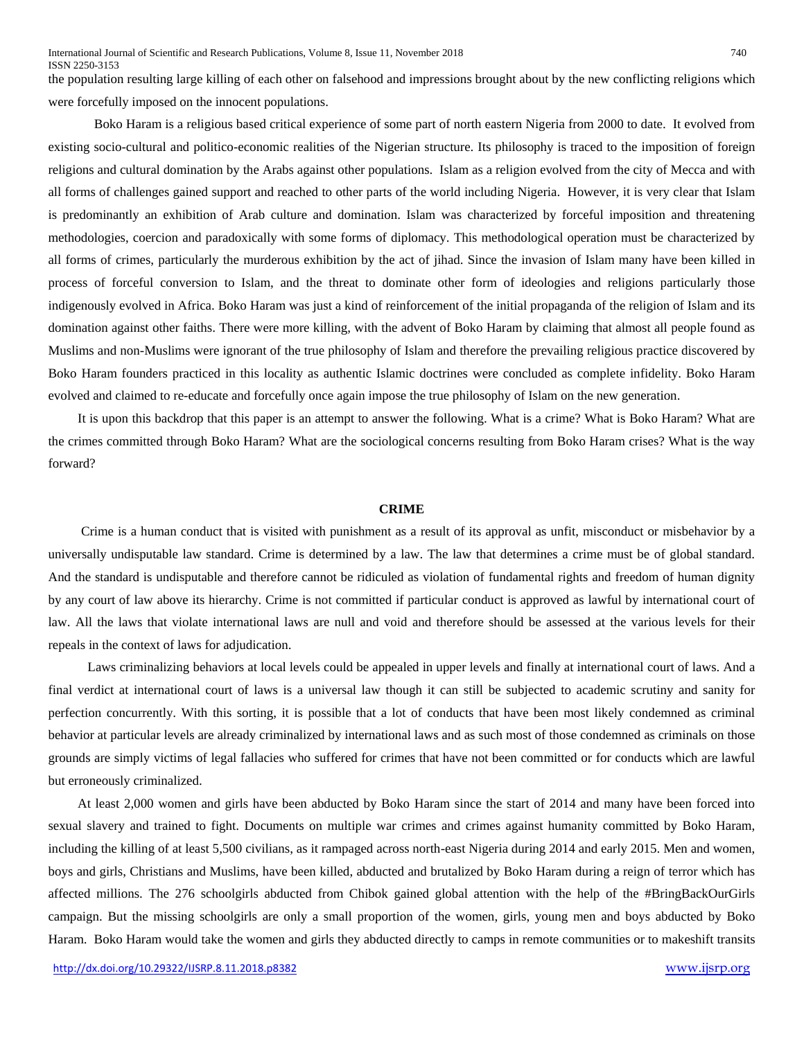the population resulting large killing of each other on falsehood and impressions brought about by the new conflicting religions which were forcefully imposed on the innocent populations.

 Boko Haram is a religious based critical experience of some part of north eastern Nigeria from 2000 to date. It evolved from existing socio-cultural and politico-economic realities of the Nigerian structure. Its philosophy is traced to the imposition of foreign religions and cultural domination by the Arabs against other populations. Islam as a religion evolved from the city of Mecca and with all forms of challenges gained support and reached to other parts of the world including Nigeria. However, it is very clear that Islam is predominantly an exhibition of Arab culture and domination. Islam was characterized by forceful imposition and threatening methodologies, coercion and paradoxically with some forms of diplomacy. This methodological operation must be characterized by all forms of crimes, particularly the murderous exhibition by the act of jihad. Since the invasion of Islam many have been killed in process of forceful conversion to Islam, and the threat to dominate other form of ideologies and religions particularly those indigenously evolved in Africa. Boko Haram was just a kind of reinforcement of the initial propaganda of the religion of Islam and its domination against other faiths. There were more killing, with the advent of Boko Haram by claiming that almost all people found as Muslims and non-Muslims were ignorant of the true philosophy of Islam and therefore the prevailing religious practice discovered by Boko Haram founders practiced in this locality as authentic Islamic doctrines were concluded as complete infidelity. Boko Haram evolved and claimed to re-educate and forcefully once again impose the true philosophy of Islam on the new generation.

 It is upon this backdrop that this paper is an attempt to answer the following. What is a crime? What is Boko Haram? What are the crimes committed through Boko Haram? What are the sociological concerns resulting from Boko Haram crises? What is the way forward?

#### **CRIME**

 Crime is a human conduct that is visited with punishment as a result of its approval as unfit, misconduct or misbehavior by a universally undisputable law standard. Crime is determined by a law. The law that determines a crime must be of global standard. And the standard is undisputable and therefore cannot be ridiculed as violation of fundamental rights and freedom of human dignity by any court of law above its hierarchy. Crime is not committed if particular conduct is approved as lawful by international court of law. All the laws that violate international laws are null and void and therefore should be assessed at the various levels for their repeals in the context of laws for adjudication.

 Laws criminalizing behaviors at local levels could be appealed in upper levels and finally at international court of laws. And a final verdict at international court of laws is a universal law though it can still be subjected to academic scrutiny and sanity for perfection concurrently. With this sorting, it is possible that a lot of conducts that have been most likely condemned as criminal behavior at particular levels are already criminalized by international laws and as such most of those condemned as criminals on those grounds are simply victims of legal fallacies who suffered for crimes that have not been committed or for conducts which are lawful but erroneously criminalized.

 At least 2,000 women and girls have been abducted by Boko Haram since the start of 2014 and many have been forced into sexual slavery and trained to fight. Documents on multiple war crimes and crimes against humanity committed by Boko Haram, including the killing of at least 5,500 civilians, as it rampaged across north-east Nigeria during 2014 and early 2015. Men and women, boys and girls, Christians and Muslims, have been killed, abducted and brutalized by Boko Haram during a reign of terror which has affected millions. The 276 schoolgirls abducted from Chibok gained global attention with the help of the #BringBackOurGirls campaign. But the missing schoolgirls are only a small proportion of the women, girls, young men and boys abducted by Boko Haram. Boko Haram would take the women and girls they abducted directly to camps in remote communities or to makeshift transits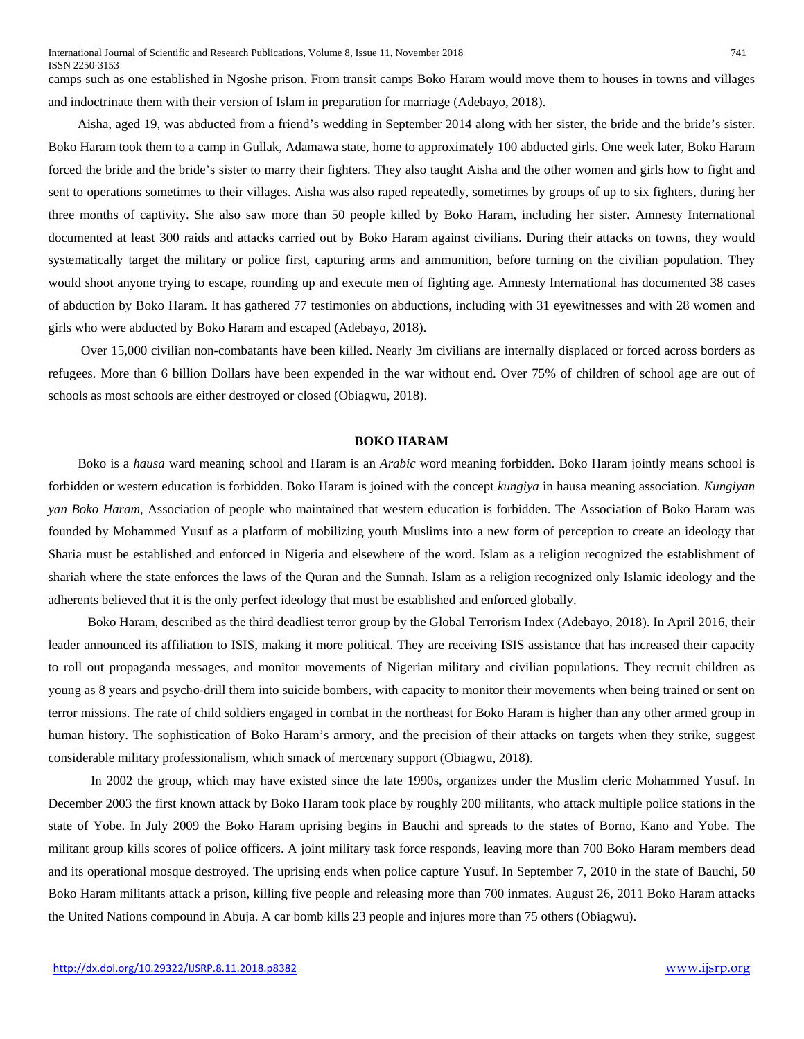ISSN 2250-3153

camps such as one established in Ngoshe prison. From transit camps Boko Haram would move them to houses in towns and villages and indoctrinate them with their version of Islam in preparation for marriage (Adebayo, 2018).

 Aisha, aged 19, was abducted from a friend's wedding in September 2014 along with her sister, the bride and the bride's sister. Boko Haram took them to a camp in Gullak, Adamawa state, home to approximately 100 abducted girls. One week later, Boko Haram forced the bride and the bride's sister to marry their fighters. They also taught Aisha and the other women and girls how to fight and sent to operations sometimes to their villages. Aisha was also raped repeatedly, sometimes by groups of up to six fighters, during her three months of captivity. She also saw more than 50 people killed by Boko Haram, including her sister. Amnesty International documented at least 300 raids and attacks carried out by Boko Haram against civilians. During their attacks on towns, they would systematically target the military or police first, capturing arms and ammunition, before turning on the civilian population. They would shoot anyone trying to escape, rounding up and execute men of fighting age. Amnesty International has documented 38 cases of abduction by Boko Haram. It has gathered 77 testimonies on abductions, including with 31 eyewitnesses and with 28 women and girls who were abducted by Boko Haram and escaped (Adebayo, 2018).

 Over 15,000 civilian non-combatants have been killed. Nearly 3m civilians are internally displaced or forced across borders as refugees. More than 6 billion Dollars have been expended in the war without end. Over 75% of children of school age are out of schools as most schools are either destroyed or closed (Obiagwu, 2018).

# **BOKO HARAM**

 Boko is a *hausa* ward meaning school and Haram is an *Arabic* word meaning forbidden. Boko Haram jointly means school is forbidden or western education is forbidden. Boko Haram is joined with the concept *kungiya* in hausa meaning association. *Kungiyan yan Boko Haram*, Association of people who maintained that western education is forbidden. The Association of Boko Haram was founded by Mohammed Yusuf as a platform of mobilizing youth Muslims into a new form of perception to create an ideology that Sharia must be established and enforced in Nigeria and elsewhere of the word. Islam as a religion recognized the establishment of shariah where the state enforces the laws of the Quran and the Sunnah. Islam as a religion recognized only Islamic ideology and the adherents believed that it is the only perfect ideology that must be established and enforced globally.

 Boko Haram, described as [the third deadliest terror group](http://visionofhumanity.org/app/uploads/2017/11/Global-Terrorism-Index-2017.pdf) by the Global Terrorism Index (Adebayo, 2018). In April 2016, their leader announced its affiliation to ISIS, making it more political. They are receiving ISIS assistance that has increased their capacity to roll out propaganda messages, and monitor movements of Nigerian military and civilian populations. They recruit children as young as 8 years and psycho-drill them into suicide bombers, with capacity to monitor their movements when being trained or sent on terror missions. The rate of child soldiers engaged in combat in the northeast for Boko Haram is higher than any other armed group in human history. The sophistication of Boko Haram's armory, and the precision of their attacks on targets when they strike, suggest considerable military professionalism, which smack of mercenary support (Obiagwu, 2018).

 In 2002 the group, which may have existed since the late 1990s, organizes under the Muslim cleric Mohammed Yusuf. In December 2003 the first known attack by Boko Haram took place by roughly 200 militants, who attack multiple police stations in the state of Yobe. In July 2009 the [Boko Haram uprising](http://www.cnn.com/2012/01/24/world/africa/nigeria-attacks/) begins in Bauchi and spreads to the states of Borno, Kano and Yobe. The militant group kills scores of police officers. A joint military task force responds, leaving more than 700 Boko Haram members dead and its operational mosque destroyed. The uprising ends when police capture Yusuf. In September 7, 2010 in the state of Bauchi, 50 Boko Haram militants attack a prison, killing five people and releasing more than 700 inmates. August 26, 2011 Boko Haram attacks th[e United Nations](http://www.cnn.com/2013/09/03/world/united-nations-fast-facts/) compound in Abuja. A car bomb kills 23 people and injures more than 75 others (Obiagwu).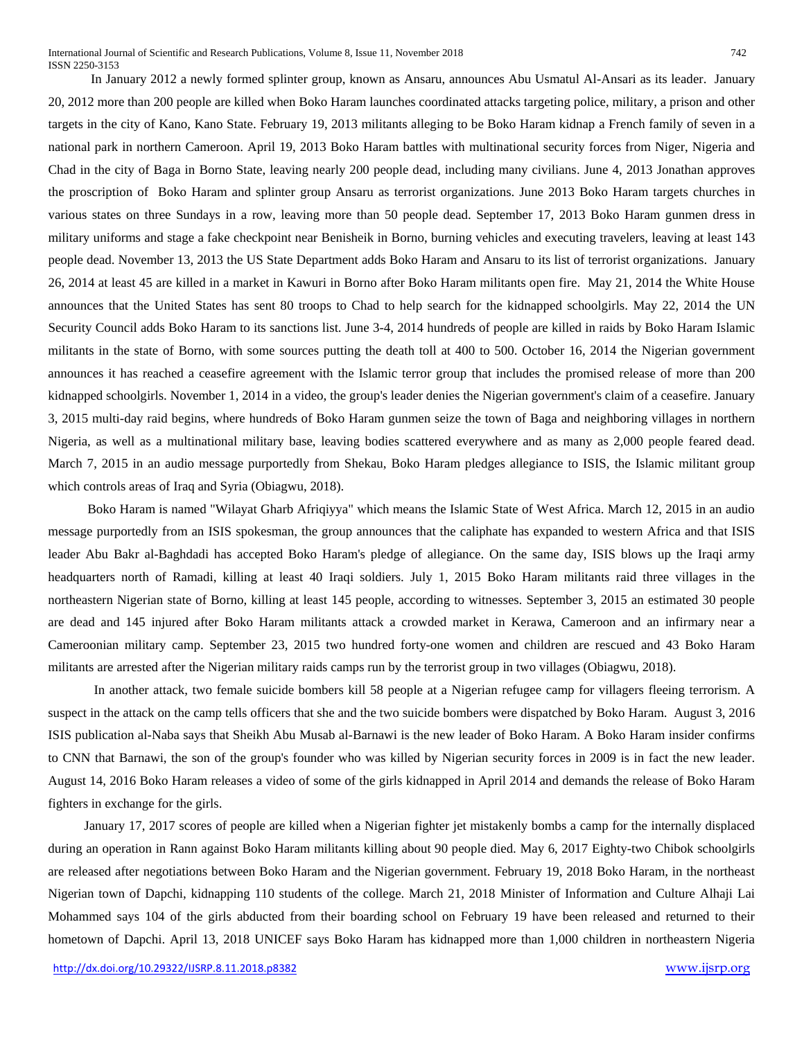In January 2012 a newly formed splinter group, known as Ansaru, announces Abu Usmatul Al-Ansari as its leader. January 20, 2012 more than 200 people are killed when Boko Haram launches coordinated attacks targeting police, military, a prison and other targets in the city of Kano, Kano State. February 19, 2013 militants alleging to be [Boko Haram kidnap a French family of seven in a](http://www.cnn.com/2014/02/27/world/africa/nigeria-year-of-attacks/)  [national park in northern Cameroon.](http://www.cnn.com/2014/02/27/world/africa/nigeria-year-of-attacks/) April 19, 2013 Boko Haram battles with multinational security forces from Niger, Nigeria and Chad in the city of Baga in Borno State, leaving nearly 200 people dead, including many civilians. June 4, 2013 Jonathan approves the proscription of Boko Haram and splinter group Ansaru as terrorist organizations. June 2013 Boko Haram targets churches in various states on three Sundays in a row, leaving more than 50 people dead. September 17, 2013 Boko Haram gunmen dress in military uniforms and stage a fake checkpoint near Benisheik in Borno, burning vehicles and executing travelers, leaving at least 143 people dead. November 13, 2013 [the US State Department adds Boko Haram and Ansaru to its list of terrorist organizations.](http://www.cnn.com/2013/11/13/world/africa/boko-haram-us/index.html) January 26, 2014 at least 45 are killed in a market in Kawuri in Borno after Boko Haram militants open fire. May 21, 2014 the White House announces that the [United States has sent 80 troops to Chad to help search for the kidnapped schoolgirls.](http://www.cnn.com/2014/05/21/world/africa/nigeria-violence/) May 22, 2014 the [UN](http://www.cnn.com/2013/09/03/world/united-nations-security-council-fast-facts/)  [Security Council](http://www.cnn.com/2013/09/03/world/united-nations-security-council-fast-facts/) adds [Boko Haram to its sanctions list.](http://edition.cnn.com/2014/05/22/world/africa/nigeria-violence/) June 3-4, 2014 [hundreds of people are killed in raids](http://www.cnn.com/2014/06/05/world/africa/boko-haram-village-raids/) by Boko Haram Islamic militants in the state of Borno, with some sources putting the death toll at 400 to 500. October 16, 2014 the Nigerian government announces it has reached a [ceasefire agreement with the Islamic terror group](http://www.cnn.com/2014/10/17/world/africa/nigeria-boko-haram-ceasefire) that includes the promised release of more than 200 kidnapped schoolgirls. November 1, 2014 in a video, the group's [leader denies the Nigerian government's claim of a ceasefire.](http://www.cnn.com/2014/11/01/world/africa/nigeria-boko-haram-denies-deal/) January 3, 2015 [multi-day raid begins, where hundreds of Boko Haram gunmen seize the town of Baga](http://www.cnn.com/2015/01/09/africa/boko-haram-violence/) and neighboring villages in northern Nigeria, as well as a multinational military base, leaving bodies scattered everywhere and as many as 2,000 people feared dead. March 7, 2015 in an [audio message purportedly from Shekau,](http://www.cnn.com/2015/03/07/africa/nigeria-boko-haram-isis/) Boko Haram pledges allegiance to [ISIS,](http://www.cnn.com/2014/08/08/world/isis-fast-facts/) the Islamic militant group which controls areas of [Iraq](http://www.cnn.com/2013/10/30/world/meast/iraq-history-fast-facts/index.html) and [Syria \(Obiagwu, 2018\).](http://www.cnn.com/2013/06/18/world/meast/syria-fast-facts/index.html)

 Boko Haram is named "Wilayat Gharb Afriqiyya" which means the Islamic State of West Africa. March 12, 2015 in an audio message purportedly from an ISIS spokesman, the group announces that [the caliphate has expanded to western Africa and that ISIS](http://www.cnn.com/2015/03/12/middleeast/isis-boko-haram/)  [leader Abu Bakr al-Baghdadi has accepted Boko Haram's pledge of allegiance.](http://www.cnn.com/2015/03/12/middleeast/isis-boko-haram/) On the same day, [ISIS blows up the Iraqi army](http://www.cnn.com/2015/03/12/middleeast/iraq-isis-tikrit/)  [headquarters north of Ramadi, killing at least 40 Iraqi soldiers.](http://www.cnn.com/2015/03/12/middleeast/iraq-isis-tikrit/) July 1, 2015 [Boko Haram militants raid three villages](http://www.cnn.com/2015/07/02/africa/nigeria-boko-haram-attacks/) in the northeastern Nigerian state of Borno, killing at least 145 people, according to witnesses. September 3, 2015 an estimated [30 people](http://www.cnn.com/2015/09/03/africa/boko-haram-cameroon-violence/index.html)  [are dead and 145 injured](http://www.cnn.com/2015/09/03/africa/boko-haram-cameroon-violence/index.html) after Boko Haram militants attack a crowded market in Kerawa, Cameroon and an infirmary near a Cameroonian military camp. September 23, 2015 [two hundred forty-one women and children are rescued and 43 Boko Haram](http://www.cnn.com/2015/09/23/africa/nigeria-troops-free-boko-haram-hostages/index.html)  [militants are arrested](http://www.cnn.com/2015/09/23/africa/nigeria-troops-free-boko-haram-hostages/index.html) after the Nigerian military raids camps run by the terrorist group in two villages (Obiagwu, 2018).

 [In another attack, two female suicide bombers kill 58 people at a Nigerian refugee camp for villagers fleeing terrorism.](http://www.cnn.com/2016/02/11/africa/nigeria-suicide-bombing-boko-haram/) A suspect in the attack on the camp tells officers that she and the two suicide bombers were dispatched by Boko Haram. August 3, 2016 ISIS publication al-Naba says that [Sheikh Abu Musab al-Barnawi is the new leader of Boko Haram.](http://www.cnn.com/2016/08/04/africa/nigeria-boko-haram-leader/) A Boko Haram insider confirms to CNN that Barnawi, the son of the group's founder who was killed by Nigerian security forces in 2009 is in fact the new leader. August 14, 2016 [Boko Haram releases a video](http://www.cnn.com/2016/08/14/africa/boko-haram-video-missing-girls/) of some of the girls kidnapped in April 2014 and demands the release of Boko Haram fighters in exchange for the girls.

 January 17, 2017 [scores of people are killed when a Nigerian fighter jet mistakenly bombs a camp for the internally displaced](http://www.cnn.com/2017/01/17/africa/nigeria-airstrike-refugee-camp-aid-workers-killed/) during an operation in Rann against Boko Haram militants killing about 90 people died. May 6, 2017 [Eighty-two Chibok schoolgirls](http://www.cnn.com/2017/05/06/africa/chibok-girls-released/index.html)  [are released](http://www.cnn.com/2017/05/06/africa/chibok-girls-released/index.html) after negotiations between Boko Haram and the Nigerian government. February 19, 2018 Boko Haram, in the northeast Nigerian town of Dapchi, kidnapping 110 students of the college. March 21, 2018 [Minister of Information and Culture Alhaji Lai](https://www.cnn.com/2018/03/21/africa/nigeria-kidnapped-girls-boko-haram-intl/index.html)  [Mohammed says 104 of the girls abducted from their boarding school on February 19 have been released and returned to their](https://www.cnn.com/2018/03/21/africa/nigeria-kidnapped-girls-boko-haram-intl/index.html)  [hometown of Dapchi. A](https://www.cnn.com/2018/03/21/africa/nigeria-kidnapped-girls-boko-haram-intl/index.html)pril 13, 2018 [UNICEF](https://www.unicef.org/wca/press-releases/more-1000-children-northeastern-nigeria-abducted-boko-haram-2013) says Boko Haram has kidnapped more than [1,000 children in northeastern Nigeria](https://edition.cnn.com/2018/04/13/africa/boko-haram-children-abduction-intl/index.html)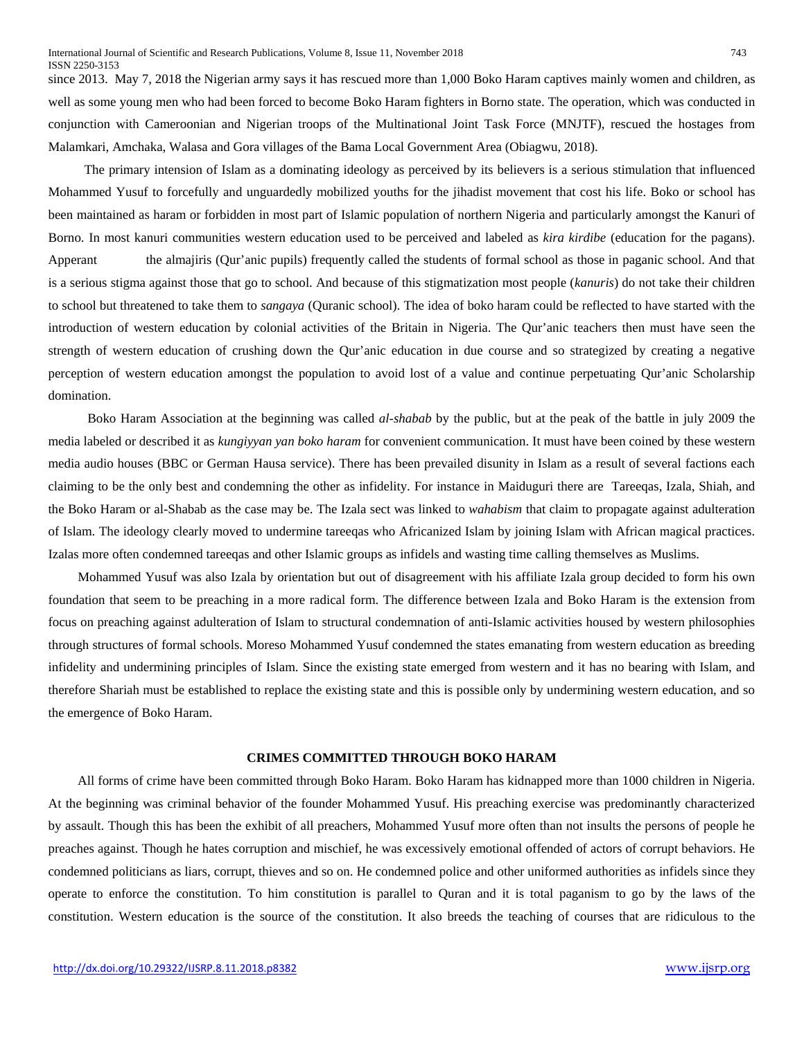since 2013. May 7, 2018 [the Nigerian army says it has rescued more than 1,000 Boko Haram captives](https://www.cnn.com/2018/05/07/africa/boko-haram-captives-freed-intl/index.html) mainly women and children, as well as some young men who had been forced to become Boko Haram fighters in Borno state. The operation, which was conducted in conjunction with Cameroonian and Nigerian troops of the Multinational Joint Task Force (MNJTF), rescued the hostages from Malamkari, Amchaka, Walasa and Gora villages of the Bama Local Government Area (Obiagwu, 2018).

 The primary intension of Islam as a dominating ideology as perceived by its believers is a serious stimulation that influenced Mohammed Yusuf to forcefully and unguardedly mobilized youths for the jihadist movement that cost his life. Boko or school has been maintained as haram or forbidden in most part of Islamic population of northern Nigeria and particularly amongst the Kanuri of Borno. In most kanuri communities western education used to be perceived and labeled as *kira kirdibe* (education for the pagans). Apperant the almajiris (Qur'anic pupils) frequently called the students of formal school as those in paganic school. And that is a serious stigma against those that go to school. And because of this stigmatization most people (*kanuris*) do not take their children to school but threatened to take them to *sangaya* (Quranic school). The idea of boko haram could be reflected to have started with the introduction of western education by colonial activities of the Britain in Nigeria. The Qur'anic teachers then must have seen the strength of western education of crushing down the Qur'anic education in due course and so strategized by creating a negative perception of western education amongst the population to avoid lost of a value and continue perpetuating Qur'anic Scholarship domination.

 Boko Haram Association at the beginning was called *al-shabab* by the public, but at the peak of the battle in july 2009 the media labeled or described it as *kungiyyan yan boko haram* for convenient communication. It must have been coined by these western media audio houses (BBC or German Hausa service). There has been prevailed disunity in Islam as a result of several factions each claiming to be the only best and condemning the other as infidelity. For instance in Maiduguri there are Tareeqas, Izala, Shiah, and the Boko Haram or al-Shabab as the case may be. The Izala sect was linked to *wahabism* that claim to propagate against adulteration of Islam. The ideology clearly moved to undermine tareeqas who Africanized Islam by joining Islam with African magical practices. Izalas more often condemned tareeqas and other Islamic groups as infidels and wasting time calling themselves as Muslims.

 Mohammed Yusuf was also Izala by orientation but out of disagreement with his affiliate Izala group decided to form his own foundation that seem to be preaching in a more radical form. The difference between Izala and Boko Haram is the extension from focus on preaching against adulteration of Islam to structural condemnation of anti-Islamic activities housed by western philosophies through structures of formal schools. Moreso Mohammed Yusuf condemned the states emanating from western education as breeding infidelity and undermining principles of Islam. Since the existing state emerged from western and it has no bearing with Islam, and therefore Shariah must be established to replace the existing state and this is possible only by undermining western education, and so the emergence of Boko Haram.

### **CRIMES COMMITTED THROUGH BOKO HARAM**

 All forms of crime have been committed through Boko Haram. [Boko Haram has kidnapped more than 1000 children in Nigeria.](https://edition.cnn.com/2018/04/13/africa/boko-haram-children-abduction-intl/index.html) At the beginning was criminal behavior of the founder Mohammed Yusuf. His preaching exercise was predominantly characterized by assault. Though this has been the exhibit of all preachers, Mohammed Yusuf more often than not insults the persons of people he preaches against. Though he hates corruption and mischief, he was excessively emotional offended of actors of corrupt behaviors. He condemned politicians as liars, corrupt, thieves and so on. He condemned police and other uniformed authorities as infidels since they operate to enforce the constitution. To him constitution is parallel to Quran and it is total paganism to go by the laws of the constitution. Western education is the source of the constitution. It also breeds the teaching of courses that are ridiculous to the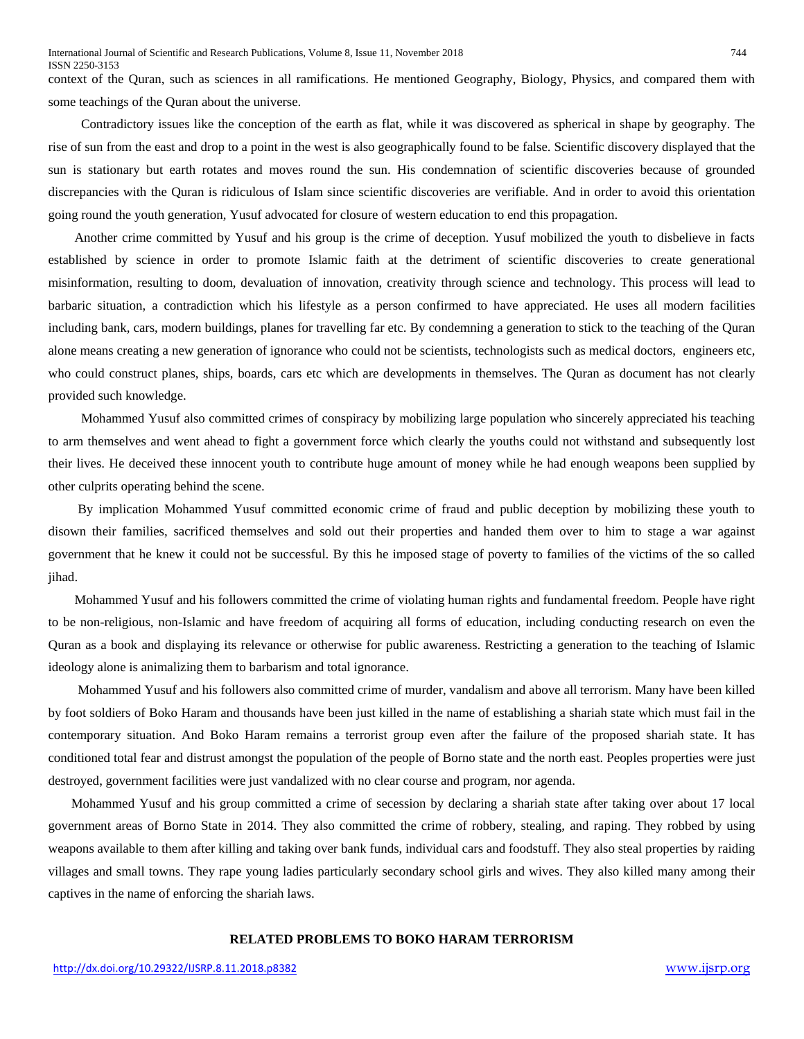context of the Quran, such as sciences in all ramifications. He mentioned Geography, Biology, Physics, and compared them with some teachings of the Quran about the universe.

 Contradictory issues like the conception of the earth as flat, while it was discovered as spherical in shape by geography. The rise of sun from the east and drop to a point in the west is also geographically found to be false. Scientific discovery displayed that the sun is stationary but earth rotates and moves round the sun. His condemnation of scientific discoveries because of grounded discrepancies with the Quran is ridiculous of Islam since scientific discoveries are verifiable. And in order to avoid this orientation going round the youth generation, Yusuf advocated for closure of western education to end this propagation.

 Another crime committed by Yusuf and his group is the crime of deception. Yusuf mobilized the youth to disbelieve in facts established by science in order to promote Islamic faith at the detriment of scientific discoveries to create generational misinformation, resulting to doom, devaluation of innovation, creativity through science and technology. This process will lead to barbaric situation, a contradiction which his lifestyle as a person confirmed to have appreciated. He uses all modern facilities including bank, cars, modern buildings, planes for travelling far etc. By condemning a generation to stick to the teaching of the Quran alone means creating a new generation of ignorance who could not be scientists, technologists such as medical doctors, engineers etc, who could construct planes, ships, boards, cars etc which are developments in themselves. The Quran as document has not clearly provided such knowledge.

 Mohammed Yusuf also committed crimes of conspiracy by mobilizing large population who sincerely appreciated his teaching to arm themselves and went ahead to fight a government force which clearly the youths could not withstand and subsequently lost their lives. He deceived these innocent youth to contribute huge amount of money while he had enough weapons been supplied by other culprits operating behind the scene.

 By implication Mohammed Yusuf committed economic crime of fraud and public deception by mobilizing these youth to disown their families, sacrificed themselves and sold out their properties and handed them over to him to stage a war against government that he knew it could not be successful. By this he imposed stage of poverty to families of the victims of the so called jihad.

 Mohammed Yusuf and his followers committed the crime of violating human rights and fundamental freedom. People have right to be non-religious, non-Islamic and have freedom of acquiring all forms of education, including conducting research on even the Quran as a book and displaying its relevance or otherwise for public awareness. Restricting a generation to the teaching of Islamic ideology alone is animalizing them to barbarism and total ignorance.

 Mohammed Yusuf and his followers also committed crime of murder, vandalism and above all terrorism. Many have been killed by foot soldiers of Boko Haram and thousands have been just killed in the name of establishing a shariah state which must fail in the contemporary situation. And Boko Haram remains a terrorist group even after the failure of the proposed shariah state. It has conditioned total fear and distrust amongst the population of the people of Borno state and the north east. Peoples properties were just destroyed, government facilities were just vandalized with no clear course and program, nor agenda.

 Mohammed Yusuf and his group committed a crime of secession by declaring a shariah state after taking over about 17 local government areas of Borno State in 2014. They also committed the crime of robbery, stealing, and raping. They robbed by using weapons available to them after killing and taking over bank funds, individual cars and foodstuff. They also steal properties by raiding villages and small towns. They rape young ladies particularly secondary school girls and wives. They also killed many among their captives in the name of enforcing the shariah laws.

# **RELATED PROBLEMS TO BOKO HARAM TERRORISM**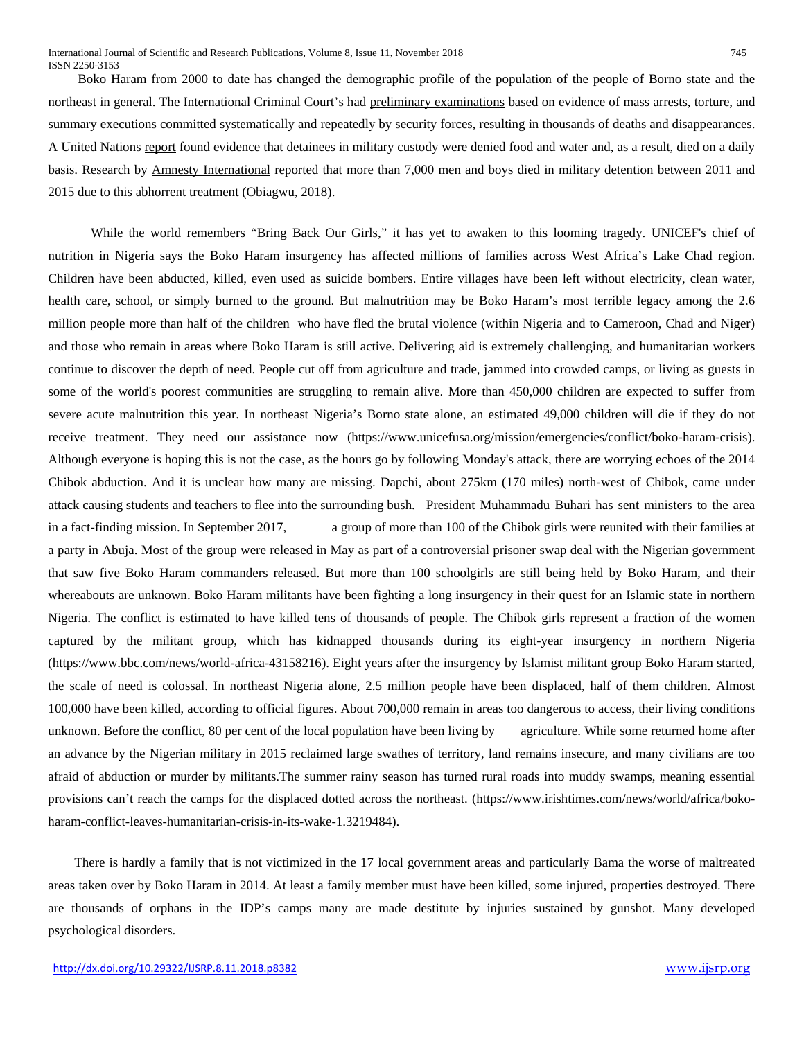Boko Haram from 2000 to date has changed the demographic profile of the population of the people of Borno state and the northeast in general. The International Criminal Court's had [preliminary examinations](https://www.icc-cpi.int/iccdocs/otp/OTP-PE-rep-2015-Eng.pdf) based on evidence of mass arrests, torture, and summary executions committed systematically and repeatedly by security forces, resulting in thousands of deaths and disappearances. A United Nations [report](http://www.ohchr.org/EN/HRBodies/HRC/RegularSessions/Session30/Pages/ListReports.aspx) found evidence that detainees in military custody were denied food and water and, as a result, died on a daily basis. Research by [Amnesty International](https://www.amnesty.org/en/latest/news/2015/06/nigeria-senior-members-of-military-must-be-investigated-for-war-crimes/) reported that more than 7,000 men and boys died in military detention between 2011 and 2015 due to this abhorrent treatment (Obiagwu, 2018).

 While the world remembers "Bring Back Our Girls," it has yet to awaken to this looming tragedy. UNICEF's chief of nutrition in Nigeria says the Boko Haram insurgency has affected millions of families across West Africa's Lake Chad region. Children have been abducted, killed, even used as suicide bombers. Entire villages have been left without electricity, clean water, health care, school, or simply burned to the ground. But malnutrition may be Boko Haram's most terrible legacy among the 2.6 million people more than half of the children who have fled the brutal violence (within Nigeria and to Cameroon, Chad and Niger) and those who remain in areas where Boko Haram is still active. Delivering aid is extremely challenging, and humanitarian workers continue to discover the depth of need. People cut off from agriculture and trade, jammed into crowded camps, or living as guests in some of the world's poorest communities are struggling to remain alive. More than 450,000 children are expected to suffer from severe acute malnutrition this year. In northeast Nigeria's Borno state alone, an estimated 49,000 children will die if they do not receive treatment. They need our assistance now (https://www.unicefusa.org/mission/emergencies/conflict/boko-haram-crisis). Although everyone is hoping this is not the case, as the hours go by following Monday's attack, there are worrying echoes of the 2014 Chibok abduction. And it is unclear how many are missing. Dapchi, about 275km (170 miles) north-west of Chibok, came under attack causing students and teachers to flee into the surrounding bush. President Muhammadu Buhari has sent ministers to the area in a fact-finding mission. In September 2017, a group of more than 100 of the Chibok girls were reunited with their families at a party in Abuja. Most of the group were released in May as part of a controversial prisoner swap deal with the Nigerian government that saw five Boko Haram commanders released. But more than 100 schoolgirls are still being held by Boko Haram, and their whereabouts are unknown. Boko Haram militants have been fighting a long insurgency in their quest for an Islamic state in northern Nigeria. The conflict is estimated to have killed tens of thousands of people. The Chibok girls represent a fraction of the women captured by the militant group, which has kidnapped thousands during its eight-year insurgency in northern Nigeria (https://www.bbc.com/news/world-africa-43158216). Eight years after the insurgency by Islamist militant group Boko Haram started, the scale of need is colossal. In northeast Nigeria alone, 2.5 million people have been displaced, half of them children. Almost 100,000 have been killed, according to official figures. About 700,000 remain in areas too dangerous to access, their living conditions unknown. Before the conflict, 80 per cent of the local population have been living by agriculture. While some returned home after an advance by the Nigerian military in 2015 reclaimed large swathes of territory, land remains insecure, and many civilians are too afraid of abduction or murder by militants.The summer rainy season has turned rural roads into muddy swamps, meaning essential provisions can't reach the camps for the displaced dotted across the northeast. (https://www.irishtimes.com/news/world/africa/bokoharam-conflict-leaves-humanitarian-crisis-in-its-wake-1.3219484).

 There is hardly a family that is not victimized in the 17 local government areas and particularly Bama the worse of maltreated areas taken over by Boko Haram in 2014. At least a family member must have been killed, some injured, properties destroyed. There are thousands of orphans in the IDP's camps many are made destitute by injuries sustained by gunshot. Many developed psychological disorders.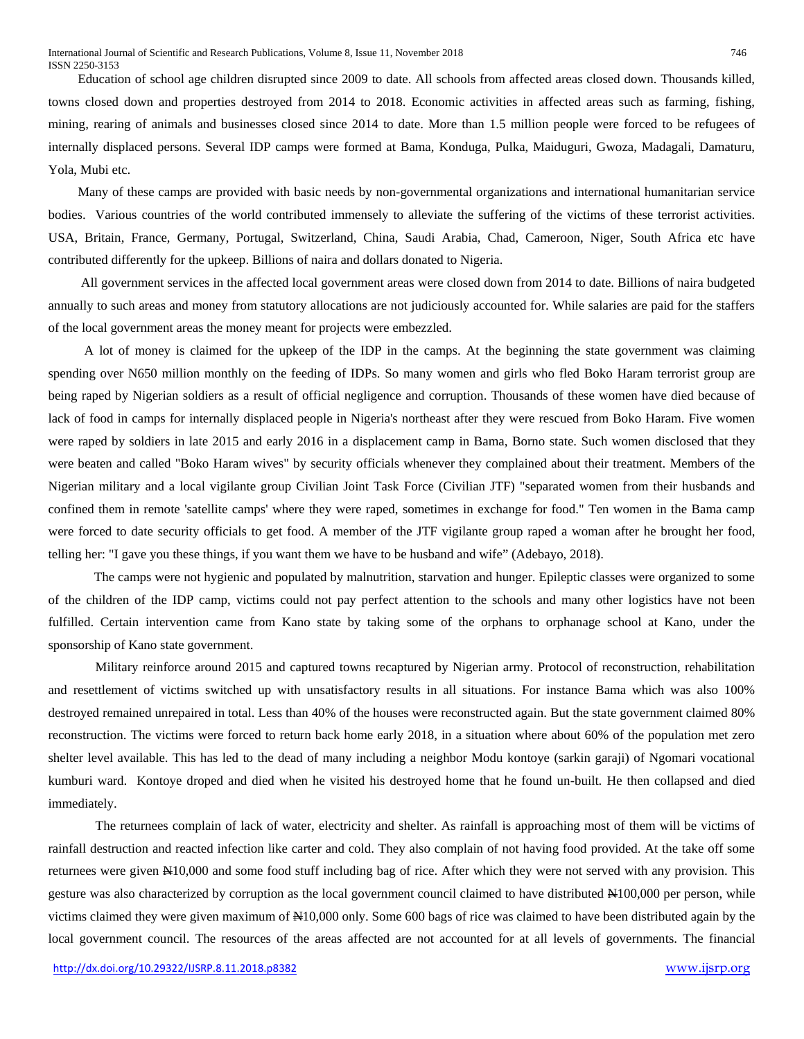Education of school age children disrupted since 2009 to date. All schools from affected areas closed down. Thousands killed, towns closed down and properties destroyed from 2014 to 2018. Economic activities in affected areas such as farming, fishing, mining, rearing of animals and businesses closed since 2014 to date. More than 1.5 million people were forced to be refugees of internally displaced persons. Several IDP camps were formed at Bama, Konduga, Pulka, Maiduguri, Gwoza, Madagali, Damaturu, Yola, Mubi etc.

 Many of these camps are provided with basic needs by non-governmental organizations and international humanitarian service bodies. Various countries of the world contributed immensely to alleviate the suffering of the victims of these terrorist activities. USA, Britain, France, Germany, Portugal, Switzerland, China, Saudi Arabia, Chad, Cameroon, Niger, South Africa etc have contributed differently for the upkeep. Billions of naira and dollars donated to Nigeria.

 All government services in the affected local government areas were closed down from 2014 to date. Billions of naira budgeted annually to such areas and money from statutory allocations are not judiciously accounted for. While salaries are paid for the staffers of the local government areas the money meant for projects were embezzled.

 A lot of money is claimed for the upkeep of the IDP in the camps. At the beginning the state government was claiming spending over N650 million monthly on the feeding of IDPs. So many women and girls who fled Boko Haram terrorist group are being raped by Nigerian soldiers as a result of official negligence and corruption. Thousands of these women have died because of lack of food in camps for internally displaced people in Nigeria's northeast after they were rescued from Boko Haram. Five women were raped by soldiers in late 2015 and early 2016 in a displacement camp in Bama, Borno state. Such women disclosed that they were beaten and called "Boko Haram wives" by security officials whenever they complained about their treatment. Members of the Nigerian military and a local vigilante group Civilian Joint Task Force (Civilian JTF) "separated women from their husbands and confined them in remote 'satellite camps' where they were raped, sometimes in exchange for food." Ten women in the Bama camp were forced to date security officials to get food. A member of the JTF vigilante group raped a woman after he brought her food, telling her: "I gave you these things, if you want them we have to be husband and wife" (Adebayo, 2018).

 The camps were not hygienic and populated by malnutrition, starvation and hunger. Epileptic classes were organized to some of the children of the IDP camp, victims could not pay perfect attention to the schools and many other logistics have not been fulfilled. Certain intervention came from Kano state by taking some of the orphans to orphanage school at Kano, under the sponsorship of Kano state government.

Military reinforce around 2015 and captured towns recaptured by Nigerian army. Protocol of reconstruction, rehabilitation and resettlement of victims switched up with unsatisfactory results in all situations. For instance Bama which was also 100% destroyed remained unrepaired in total. Less than 40% of the houses were reconstructed again. But the state government claimed 80% reconstruction. The victims were forced to return back home early 2018, in a situation where about 60% of the population met zero shelter level available. This has led to the dead of many including a neighbor Modu kontoye (sarkin garaji) of Ngomari vocational kumburi ward. Kontoye droped and died when he visited his destroyed home that he found un-built. He then collapsed and died immediately.

The returnees complain of lack of water, electricity and shelter. As rainfall is approaching most of them will be victims of rainfall destruction and reacted infection like carter and cold. They also complain of not having food provided. At the take off some returnees were given N10,000 and some food stuff including bag of rice. After which they were not served with any provision. This gesture was also characterized by corruption as the local government council claimed to have distributed N100,000 per person, while victims claimed they were given maximum of N10,000 only. Some 600 bags of rice was claimed to have been distributed again by the local government council. The resources of the areas affected are not accounted for at all levels of governments. The financial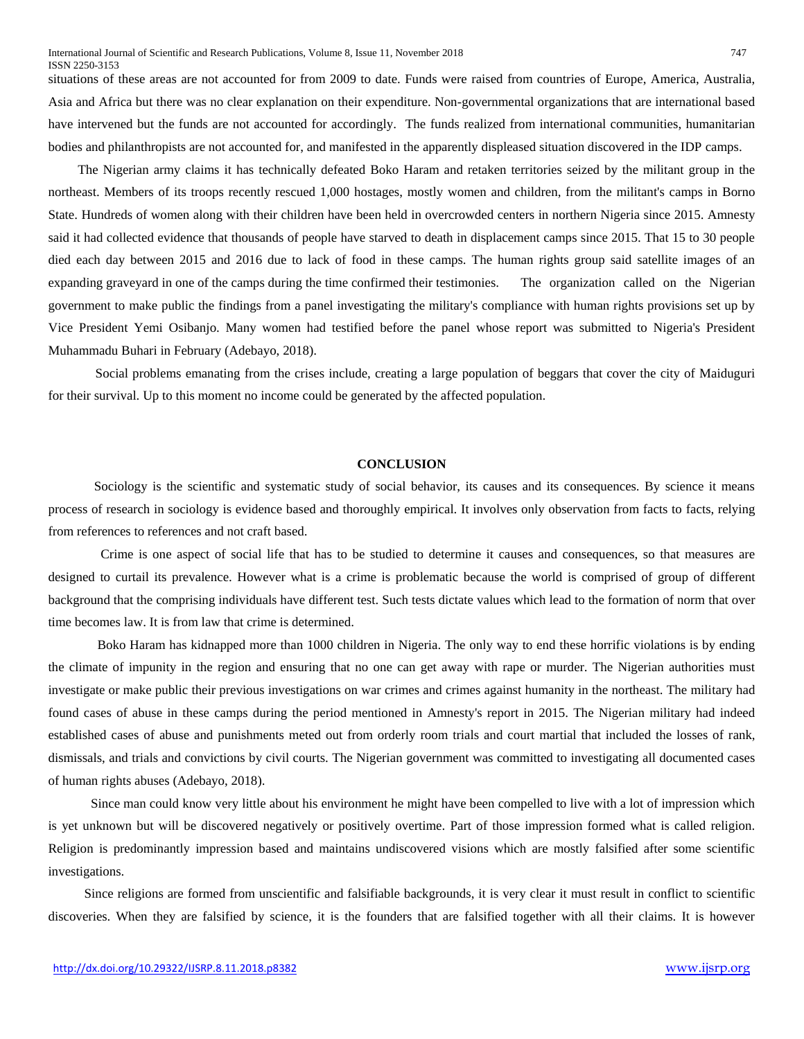situations of these areas are not accounted for from 2009 to date. Funds were raised from countries of Europe, America, Australia, Asia and Africa but there was no clear explanation on their expenditure. Non-governmental organizations that are international based have intervened but the funds are not accounted for accordingly. The funds realized from international communities, humanitarian bodies and philanthropists are not accounted for, and manifested in the apparently displeased situation discovered in the IDP camps.

 The Nigerian army claims it has technically defeated Boko Haram and retaken territories seized by the militant group in the northeast. Members of its troops recently [rescued 1,000 hostages,](https://edition.cnn.com/2018/05/07/africa/boko-haram-captives-freed-intl/index.html) mostly women and children, from the militant's camps in Borno State. Hundreds of women along with their children have been held in overcrowded centers in northern Nigeria since 2015. Amnesty said it had collected evidence that thousands of people have starved to death in displacement camps since 2015. That 15 to 30 people died each day between 2015 and 2016 due to lack of food in these camps. The human rights group said satellite images of an expanding graveyard in one of the camps during the time confirmed their testimonies. The organization called on the Nigerian government to make public the findings from a panel investigating the military's compliance with human rights provisions set up by Vice President Yemi Osibanjo. Many women had testified before the panel whose report was submitted to Nigeria's President Muhammadu Buhari in February (Adebayo, 2018).

Social problems emanating from the crises include, creating a large population of beggars that cover the city of Maiduguri for their survival. Up to this moment no income could be generated by the affected population.

### **CONCLUSION**

 Sociology is the scientific and systematic study of social behavior, its causes and its consequences. By science it means process of research in sociology is evidence based and thoroughly empirical. It involves only observation from facts to facts, relying from references to references and not craft based.

 Crime is one aspect of social life that has to be studied to determine it causes and consequences, so that measures are designed to curtail its prevalence. However what is a crime is problematic because the world is comprised of group of different background that the comprising individuals have different test. Such tests dictate values which lead to the formation of norm that over time becomes law. It is from law that crime is determined.

 [Boko Haram has kidnapped more than 1000 children in Nigeria.](https://edition.cnn.com/2018/04/13/africa/boko-haram-children-abduction-intl/index.html) The only way to end these horrific violations is by ending the climate of impunity in the region and ensuring that no one can get away with rape or murder. The Nigerian authorities must investigate or make public their previous investigations on war crimes and crimes against humanity in the northeast. The military had found cases of abuse in these camps during the period mentioned in Amnesty's report in 2015. The Nigerian military had indeed established cases of abuse and punishments meted out from orderly room trials and court martial that included the losses of rank, dismissals, and trials and convictions by civil courts. The Nigerian government was committed to investigating all documented cases of human rights abuses (Adebayo, 2018).

 Since man could know very little about his environment he might have been compelled to live with a lot of impression which is yet unknown but will be discovered negatively or positively overtime. Part of those impression formed what is called religion. Religion is predominantly impression based and maintains undiscovered visions which are mostly falsified after some scientific investigations.

 Since religions are formed from unscientific and falsifiable backgrounds, it is very clear it must result in conflict to scientific discoveries. When they are falsified by science, it is the founders that are falsified together with all their claims. It is however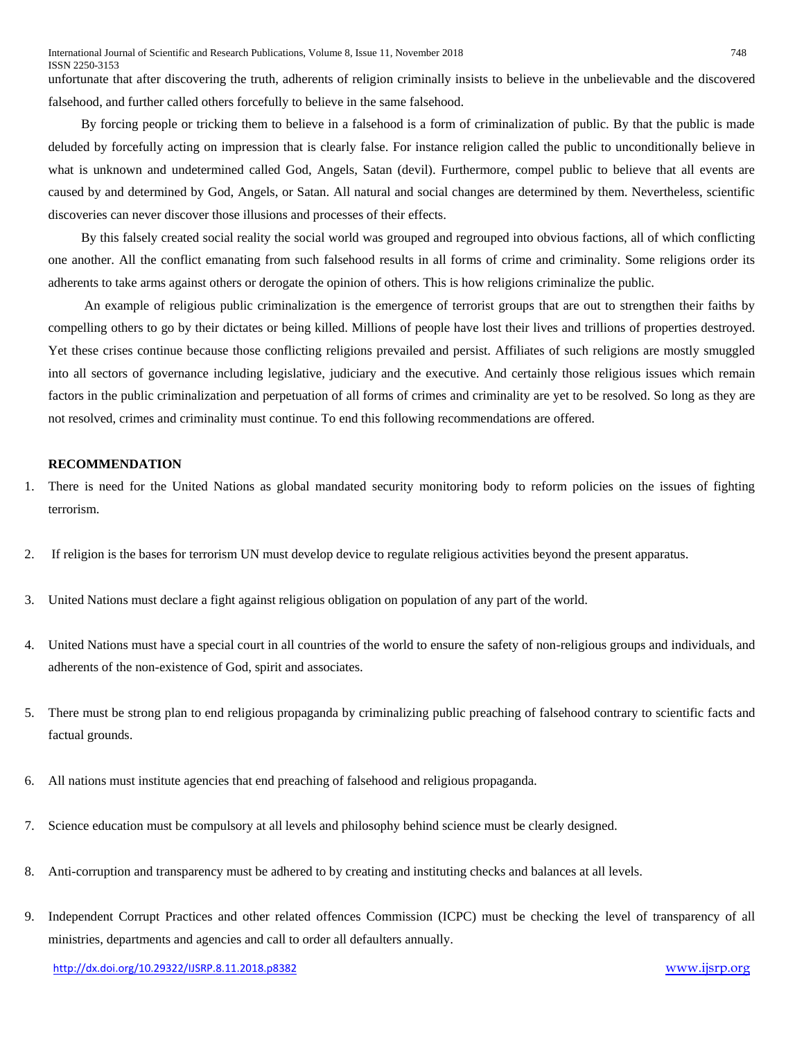unfortunate that after discovering the truth, adherents of religion criminally insists to believe in the unbelievable and the discovered falsehood, and further called others forcefully to believe in the same falsehood.

 By forcing people or tricking them to believe in a falsehood is a form of criminalization of public. By that the public is made deluded by forcefully acting on impression that is clearly false. For instance religion called the public to unconditionally believe in what is unknown and undetermined called God, Angels, Satan (devil). Furthermore, compel public to believe that all events are caused by and determined by God, Angels, or Satan. All natural and social changes are determined by them. Nevertheless, scientific discoveries can never discover those illusions and processes of their effects.

 By this falsely created social reality the social world was grouped and regrouped into obvious factions, all of which conflicting one another. All the conflict emanating from such falsehood results in all forms of crime and criminality. Some religions order its adherents to take arms against others or derogate the opinion of others. This is how religions criminalize the public.

 An example of religious public criminalization is the emergence of terrorist groups that are out to strengthen their faiths by compelling others to go by their dictates or being killed. Millions of people have lost their lives and trillions of properties destroyed. Yet these crises continue because those conflicting religions prevailed and persist. Affiliates of such religions are mostly smuggled into all sectors of governance including legislative, judiciary and the executive. And certainly those religious issues which remain factors in the public criminalization and perpetuation of all forms of crimes and criminality are yet to be resolved. So long as they are not resolved, crimes and criminality must continue. To end this following recommendations are offered.

### **RECOMMENDATION**

- 1. There is need for the United Nations as global mandated security monitoring body to reform policies on the issues of fighting terrorism.
- 2. If religion is the bases for terrorism UN must develop device to regulate religious activities beyond the present apparatus.
- 3. United Nations must declare a fight against religious obligation on population of any part of the world.
- 4. United Nations must have a special court in all countries of the world to ensure the safety of non-religious groups and individuals, and adherents of the non-existence of God, spirit and associates.
- 5. There must be strong plan to end religious propaganda by criminalizing public preaching of falsehood contrary to scientific facts and factual grounds.
- 6. All nations must institute agencies that end preaching of falsehood and religious propaganda.
- 7. Science education must be compulsory at all levels and philosophy behind science must be clearly designed.
- 8. Anti-corruption and transparency must be adhered to by creating and instituting checks and balances at all levels.
- 9. Independent Corrupt Practices and other related offences Commission (ICPC) must be checking the level of transparency of all ministries, departments and agencies and call to order all defaulters annually.